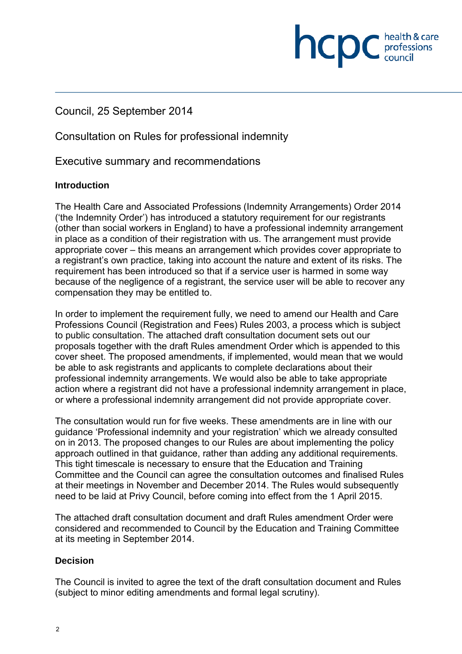# Council, 25 September 2014

Consultation on Rules for professional indemnity

Executive summary and recommendations

## **Introduction**

The Health Care and Associated Professions (Indemnity Arrangements) Order 2014 ('the Indemnity Order') has introduced a statutory requirement for our registrants (other than social workers in England) to have a professional indemnity arrangement in place as a condition of their registration with us. The arrangement must provide appropriate cover – this means an arrangement which provides cover appropriate to a registrant's own practice, taking into account the nature and extent of its risks. The requirement has been introduced so that if a service user is harmed in some way because of the negligence of a registrant, the service user will be able to recover any compensation they may be entitled to.

health & care

**INCDC** chealth & care

In order to implement the requirement fully, we need to amend our Health and Care Professions Council (Registration and Fees) Rules 2003, a process which is subject to public consultation. The attached draft consultation document sets out our proposals together with the draft Rules amendment Order which is appended to this cover sheet. The proposed amendments, if implemented, would mean that we would be able to ask registrants and applicants to complete declarations about their professional indemnity arrangements. We would also be able to take appropriate action where a registrant did not have a professional indemnity arrangement in place, or where a professional indemnity arrangement did not provide appropriate cover.

The consultation would run for five weeks. These amendments are in line with our guidance 'Professional indemnity and your registration' which we already consulted on in 2013. The proposed changes to our Rules are about implementing the policy approach outlined in that guidance, rather than adding any additional requirements. This tight timescale is necessary to ensure that the Education and Training Committee and the Council can agree the consultation outcomes and finalised Rules at their meetings in November and December 2014. The Rules would subsequently need to be laid at Privy Council, before coming into effect from the 1 April 2015.

The attached draft consultation document and draft Rules amendment Order were considered and recommended to Council by the Education and Training Committee at its meeting in September 2014.

## **Decision**

The Council is invited to agree the text of the draft consultation document and Rules (subject to minor editing amendments and formal legal scrutiny).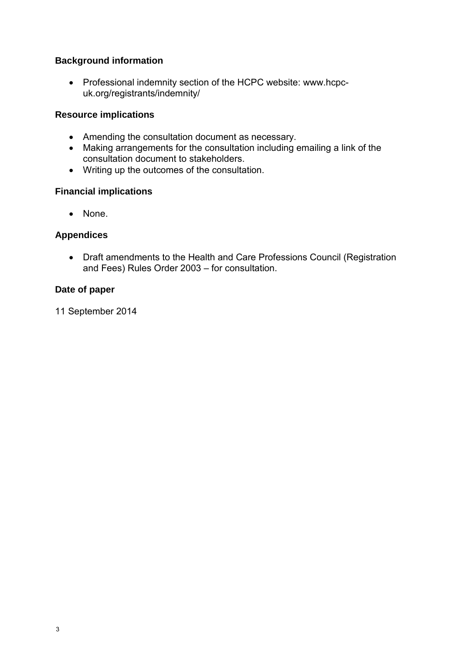## **Background information**

• Professional indemnity section of the HCPC website: www.hcpcuk.org/registrants/indemnity/

## **Resource implications**

- Amending the consultation document as necessary.
- Making arrangements for the consultation including emailing a link of the consultation document to stakeholders.
- Writing up the outcomes of the consultation.

## **Financial implications**

• None.

## **Appendices**

• Draft amendments to the Health and Care Professions Council (Registration and Fees) Rules Order 2003 – for consultation.

## **Date of paper**

11 September 2014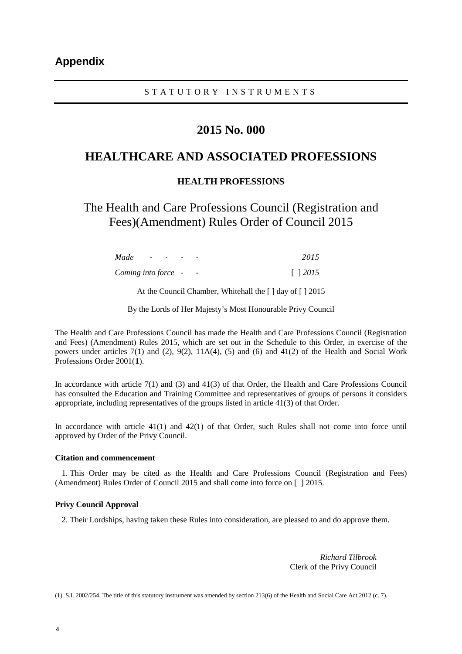#### STATUTORY INSTRUMENTS

# **2015 No. 000**

## **HEALTHCARE AND ASSOCIATED PROFESSIONS**

#### **HEALTH PROFESSIONS**

The Health and Care Professions Council (Registration and Fees)(Amendment) Rules Order of Council 2015

| Made                | $\sim$ 100 $\sim$ 100 $\sim$ | $\sim$ | 2015           |  |
|---------------------|------------------------------|--------|----------------|--|
| Coming into force - |                              |        | $\lceil$ 12015 |  |

At the Council Chamber, Whitehall the [ ] day of [ ] 2015

By the Lords of Her Majesty's Most Honourable Privy Council

The Health and Care Professions Council has made the Health and Care Professions Council (Registration and Fees) (Amendment) Rules 2015, which are set out in the Schedule to this Order, in exercise of the powers under articles  $7(1)$  and  $(2)$ ,  $9(2)$ ,  $11A(4)$ ,  $(5)$  and  $(6)$  and  $41(2)$  of the Health and Social Work Professions Order 2001(**1**).

In accordance with article 7(1) and (3) and 41(3) of that Order, the Health and Care Professions Council has consulted the Education and Training Committee and representatives of groups of persons it considers appropriate, including representatives of the groups listed in article 41(3) of that Order.

In accordance with article 41(1) and 42(1) of that Order, such Rules shall not come into force until approved by Order of the Privy Council.

#### **Citation and commencement**

1. This Order may be cited as the Health and Care Professions Council (Registration and Fees) (Amendment) Rules Order of Council 2015 and shall come into force on [ ] 2015.

#### **Privy Council Approval**

2. Their Lordships, having taken these Rules into consideration, are pleased to and do approve them.

*Richard Tilbrook* Clerk of the Privy Council

 (**1**) S.I. 2002/254. The title of this statutory instrument was amended by section 213(6) of the Health and Social Care Act 2012 (c. 7).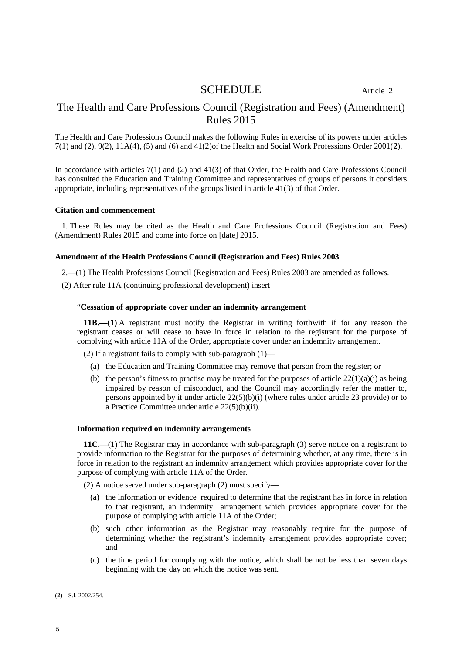## SCHEDULE Article 2

## The Health and Care Professions Council (Registration and Fees) (Amendment) Rules 2015

The Health and Care Professions Council makes the following Rules in exercise of its powers under articles 7(1) and (2), 9(2), 11A(4), (5) and (6) and 41(2)of the Health and Social Work Professions Order 2001(**2**).

In accordance with articles 7(1) and (2) and 41(3) of that Order, the Health and Care Professions Council has consulted the Education and Training Committee and representatives of groups of persons it considers appropriate, including representatives of the groups listed in article 41(3) of that Order.

#### **Citation and commencement**

1. These Rules may be cited as the Health and Care Professions Council (Registration and Fees) (Amendment) Rules 2015 and come into force on [date] 2015.

#### **Amendment of the Health Professions Council (Registration and Fees) Rules 2003**

2.—(1) The Health Professions Council (Registration and Fees) Rules 2003 are amended as follows.

(2) After rule 11A (continuing professional development) insert—

#### "**Cessation of appropriate cover under an indemnity arrangement**

**11B.—(1)** A registrant must notify the Registrar in writing forthwith if for any reason the registrant ceases or will cease to have in force in relation to the registrant for the purpose of complying with article 11A of the Order, appropriate cover under an indemnity arrangement.

(2) If a registrant fails to comply with sub-paragraph (1)—

- (a) the Education and Training Committee may remove that person from the register; or
- (b) the person's fitness to practise may be treated for the purposes of article  $22(1)(a)(i)$  as being impaired by reason of misconduct, and the Council may accordingly refer the matter to, persons appointed by it under article  $22(5)(b)(i)$  (where rules under article 23 provide) or to a Practice Committee under article 22(5)(b)(ii).

#### **Information required on indemnity arrangements**

**11C.**—(1) The Registrar may in accordance with sub-paragraph (3) serve notice on a registrant to provide information to the Registrar for the purposes of determining whether, at any time, there is in force in relation to the registrant an indemnity arrangement which provides appropriate cover for the purpose of complying with article 11A of the Order.

(2) A notice served under sub-paragraph (2) must specify—

- (a) the information or evidence required to determine that the registrant has in force in relation to that registrant, an indemnity arrangement which provides appropriate cover for the purpose of complying with article 11A of the Order;
- (b) such other information as the Registrar may reasonably require for the purpose of determining whether the registrant's indemnity arrangement provides appropriate cover; and
- (c) the time period for complying with the notice, which shall be not be less than seven days beginning with the day on which the notice was sent.

 (**2**) S.I. 2002/254.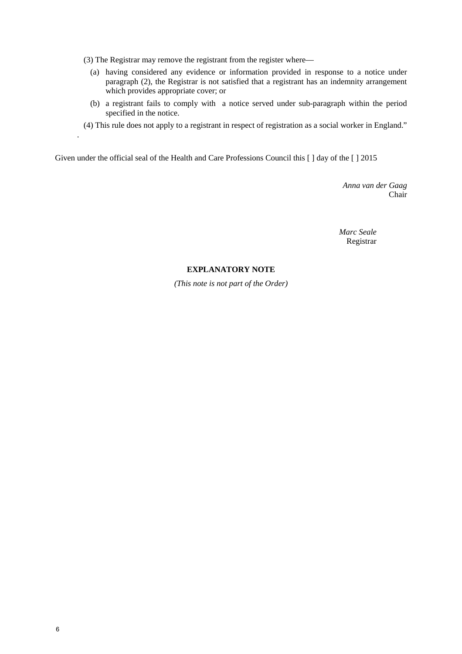- (3) The Registrar may remove the registrant from the register where—
	- (a) having considered any evidence or information provided in response to a notice under paragraph (2), the Registrar is not satisfied that a registrant has an indemnity arrangement which provides appropriate cover; or
	- (b) a registrant fails to comply with a notice served under sub-paragraph within the period specified in the notice.
- (4) This rule does not apply to a registrant in respect of registration as a social worker in England."

Given under the official seal of the Health and Care Professions Council this [ ] day of the [ ] 2015

*Anna van der Gaag* Chair

*Marc Seale* Registrar

#### **EXPLANATORY NOTE**

*(This note is not part of the Order)* 

.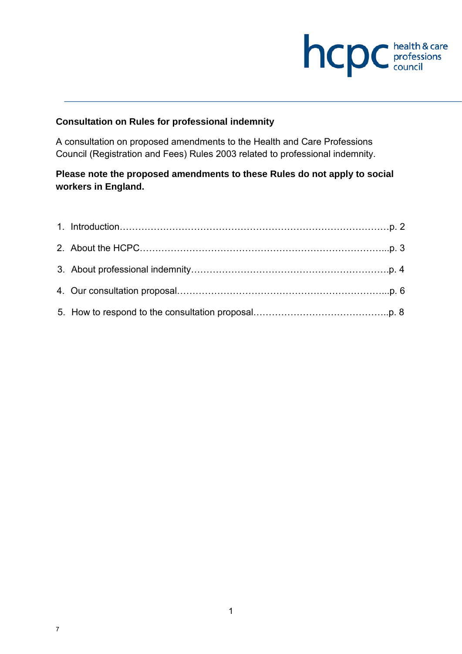# **health & care**

# **Consultation on Rules for professional indemnity**

A consultation on proposed amendments to the Health and Care Professions Council (Registration and Fees) Rules 2003 related to professional indemnity.

# **Please note the proposed amendments to these Rules do not apply to social workers in England.**

7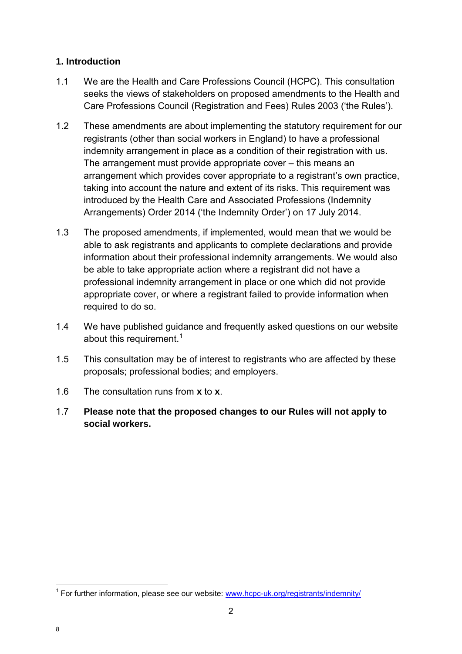# **1. Introduction**

- 1.1 We are the Health and Care Professions Council (HCPC). This consultation seeks the views of stakeholders on proposed amendments to the Health and Care Professions Council (Registration and Fees) Rules 2003 ('the Rules').
- 1.2 These amendments are about implementing the statutory requirement for our registrants (other than social workers in England) to have a professional indemnity arrangement in place as a condition of their registration with us. The arrangement must provide appropriate cover – this means an arrangement which provides cover appropriate to a registrant's own practice, taking into account the nature and extent of its risks. This requirement was introduced by the Health Care and Associated Professions (Indemnity Arrangements) Order 2014 ('the Indemnity Order') on 17 July 2014.
- 1.3 The proposed amendments, if implemented, would mean that we would be able to ask registrants and applicants to complete declarations and provide information about their professional indemnity arrangements. We would also be able to take appropriate action where a registrant did not have a professional indemnity arrangement in place or one which did not provide appropriate cover, or where a registrant failed to provide information when required to do so.
- 1.4 We have published guidance and frequently asked questions on our website about this requirement.<sup>1</sup>
- 1.5 This consultation may be of interest to registrants who are affected by these proposals; professional bodies; and employers.
- 1.6 The consultation runs from **x** to **x**.
- 1.7 **Please note that the proposed changes to our Rules will not apply to social workers.**

 $\overline{a}$ 

<sup>&</sup>lt;sup>1</sup> For further information, please see our website: www.hcpc-uk.org/registrants/indemnity/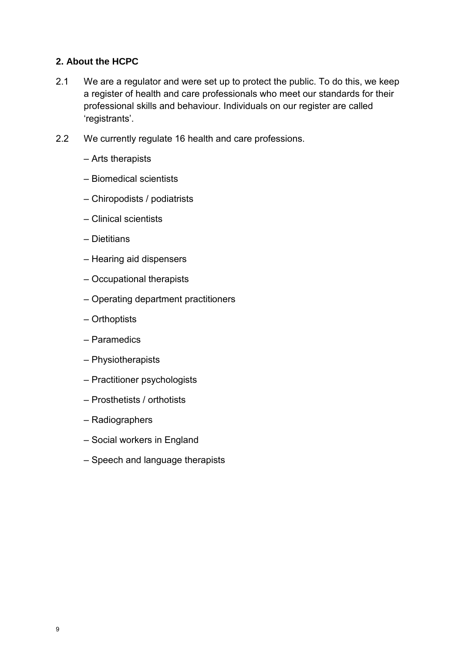## **2. About the HCPC**

- 2.1 We are a regulator and were set up to protect the public. To do this, we keep a register of health and care professionals who meet our standards for their professional skills and behaviour. Individuals on our register are called 'registrants'.
- 2.2 We currently regulate 16 health and care professions.
	- Arts therapists
	- Biomedical scientists
	- Chiropodists / podiatrists
	- Clinical scientists
	- Dietitians
	- Hearing aid dispensers
	- Occupational therapists
	- Operating department practitioners
	- Orthoptists
	- Paramedics
	- Physiotherapists
	- Practitioner psychologists
	- Prosthetists / orthotists
	- Radiographers
	- Social workers in England
	- Speech and language therapists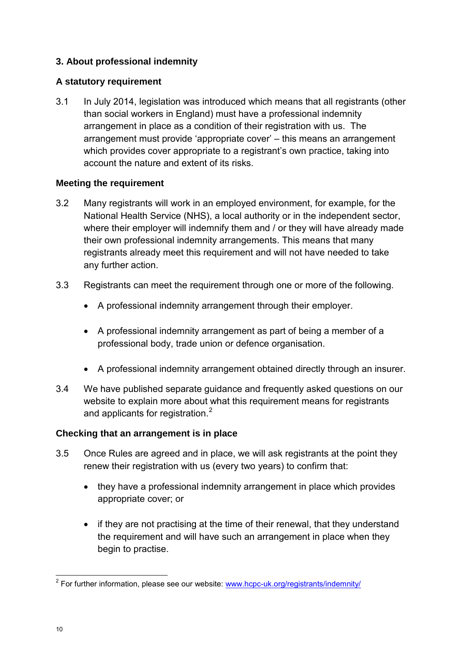# **3. About professional indemnity**

# **A statutory requirement**

3.1 In July 2014, legislation was introduced which means that all registrants (other than social workers in England) must have a professional indemnity arrangement in place as a condition of their registration with us. The arrangement must provide 'appropriate cover' – this means an arrangement which provides cover appropriate to a registrant's own practice, taking into account the nature and extent of its risks.

# **Meeting the requirement**

- 3.2 Many registrants will work in an employed environment, for example, for the National Health Service (NHS), a local authority or in the independent sector, where their employer will indemnify them and / or they will have already made their own professional indemnity arrangements. This means that many registrants already meet this requirement and will not have needed to take any further action.
- 3.3 Registrants can meet the requirement through one or more of the following.
	- A professional indemnity arrangement through their employer.
	- A professional indemnity arrangement as part of being a member of a professional body, trade union or defence organisation.
	- A professional indemnity arrangement obtained directly through an insurer.
- 3.4 We have published separate guidance and frequently asked questions on our website to explain more about what this requirement means for registrants and applicants for registration.<sup>2</sup>

## **Checking that an arrangement is in place**

- 3.5 Once Rules are agreed and in place, we will ask registrants at the point they renew their registration with us (every two years) to confirm that:
	- they have a professional indemnity arrangement in place which provides appropriate cover; or
	- if they are not practising at the time of their renewal, that they understand the requirement and will have such an arrangement in place when they begin to practise.

 $\overline{a}$ 

<sup>&</sup>lt;sup>2</sup> For further information, please see our website: www.hcpc-uk.org/registrants/indemnity/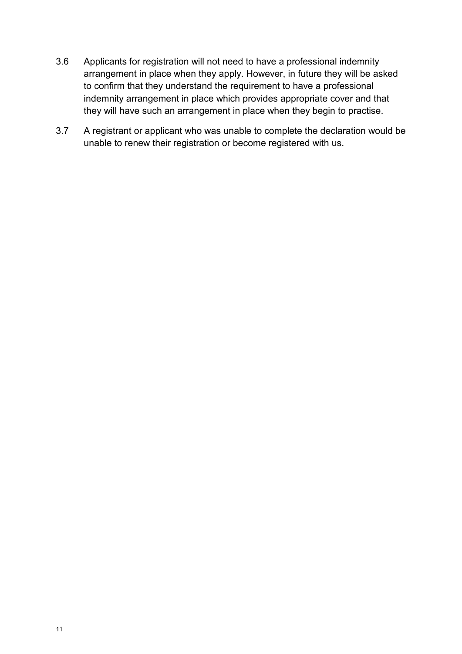- 3.6 Applicants for registration will not need to have a professional indemnity arrangement in place when they apply. However, in future they will be asked to confirm that they understand the requirement to have a professional indemnity arrangement in place which provides appropriate cover and that they will have such an arrangement in place when they begin to practise.
- 3.7 A registrant or applicant who was unable to complete the declaration would be unable to renew their registration or become registered with us.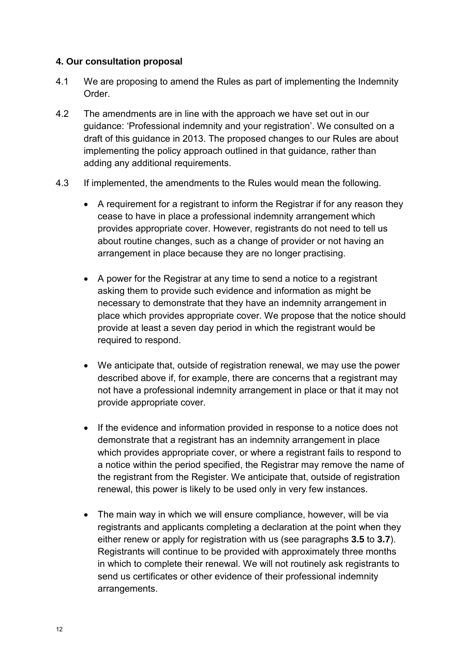## **4. Our consultation proposal**

- 4.1 We are proposing to amend the Rules as part of implementing the Indemnity Order.
- 4.2 The amendments are in line with the approach we have set out in our guidance: 'Professional indemnity and your registration'. We consulted on a draft of this guidance in 2013. The proposed changes to our Rules are about implementing the policy approach outlined in that guidance, rather than adding any additional requirements.
- 4.3 If implemented, the amendments to the Rules would mean the following.
	- A requirement for a registrant to inform the Registrar if for any reason they cease to have in place a professional indemnity arrangement which provides appropriate cover. However, registrants do not need to tell us about routine changes, such as a change of provider or not having an arrangement in place because they are no longer practising.
	- A power for the Registrar at any time to send a notice to a registrant asking them to provide such evidence and information as might be necessary to demonstrate that they have an indemnity arrangement in place which provides appropriate cover. We propose that the notice should provide at least a seven day period in which the registrant would be required to respond.
	- We anticipate that, outside of registration renewal, we may use the power described above if, for example, there are concerns that a registrant may not have a professional indemnity arrangement in place or that it may not provide appropriate cover.
	- If the evidence and information provided in response to a notice does not demonstrate that a registrant has an indemnity arrangement in place which provides appropriate cover, or where a registrant fails to respond to a notice within the period specified, the Registrar may remove the name of the registrant from the Register. We anticipate that, outside of registration renewal, this power is likely to be used only in very few instances.
	- The main way in which we will ensure compliance, however, will be via registrants and applicants completing a declaration at the point when they either renew or apply for registration with us (see paragraphs **3.5** to **3.7**). Registrants will continue to be provided with approximately three months in which to complete their renewal. We will not routinely ask registrants to send us certificates or other evidence of their professional indemnity arrangements.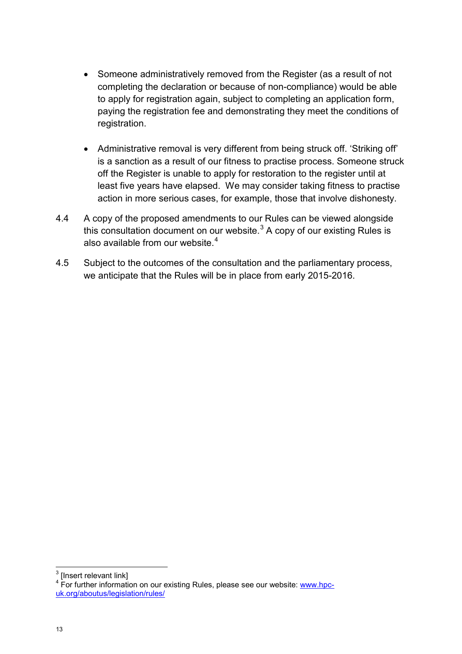- Someone administratively removed from the Register (as a result of not completing the declaration or because of non-compliance) would be able to apply for registration again, subject to completing an application form, paying the registration fee and demonstrating they meet the conditions of registration.
- Administrative removal is very different from being struck off. 'Striking off' is a sanction as a result of our fitness to practise process. Someone struck off the Register is unable to apply for restoration to the register until at least five years have elapsed. We may consider taking fitness to practise action in more serious cases, for example, those that involve dishonesty.
- 4.4 A copy of the proposed amendments to our Rules can be viewed alongside this consultation document on our website. $3$  A copy of our existing Rules is also available from our website.<sup>4</sup>
- 4.5 Subject to the outcomes of the consultation and the parliamentary process, we anticipate that the Rules will be in place from early 2015-2016.

**.**  $3$  [Insert relevant link]

<sup>&</sup>lt;sup>4</sup> For further information on our existing Rules, please see our website: www.hpcuk.org/aboutus/legislation/rules/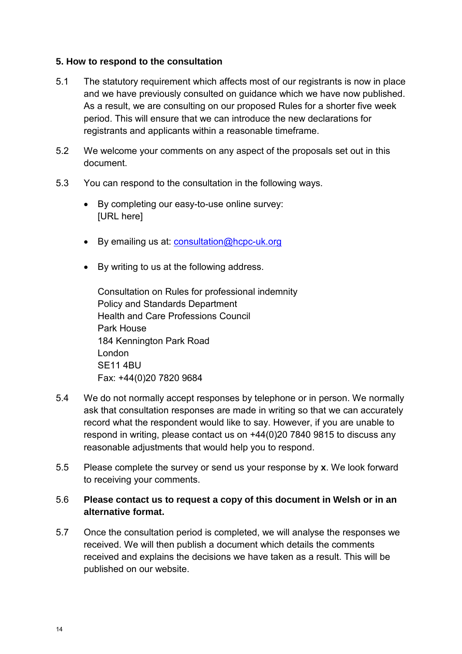## **5. How to respond to the consultation**

- 5.1 The statutory requirement which affects most of our registrants is now in place and we have previously consulted on guidance which we have now published. As a result, we are consulting on our proposed Rules for a shorter five week period. This will ensure that we can introduce the new declarations for registrants and applicants within a reasonable timeframe.
- 5.2 We welcome your comments on any aspect of the proposals set out in this document.
- 5.3 You can respond to the consultation in the following ways.
	- By completing our easy-to-use online survey: [URL here]
	- By emailing us at: consultation@hcpc-uk.org
	- By writing to us at the following address.

Consultation on Rules for professional indemnity Policy and Standards Department Health and Care Professions Council Park House 184 Kennington Park Road London SE11 4BU Fax: +44(0)20 7820 9684

- 5.4 We do not normally accept responses by telephone or in person. We normally ask that consultation responses are made in writing so that we can accurately record what the respondent would like to say. However, if you are unable to respond in writing, please contact us on +44(0)20 7840 9815 to discuss any reasonable adjustments that would help you to respond.
- 5.5 Please complete the survey or send us your response by **x**. We look forward to receiving your comments.

## 5.6 **Please contact us to request a copy of this document in Welsh or in an alternative format.**

5.7 Once the consultation period is completed, we will analyse the responses we received. We will then publish a document which details the comments received and explains the decisions we have taken as a result. This will be published on our website.